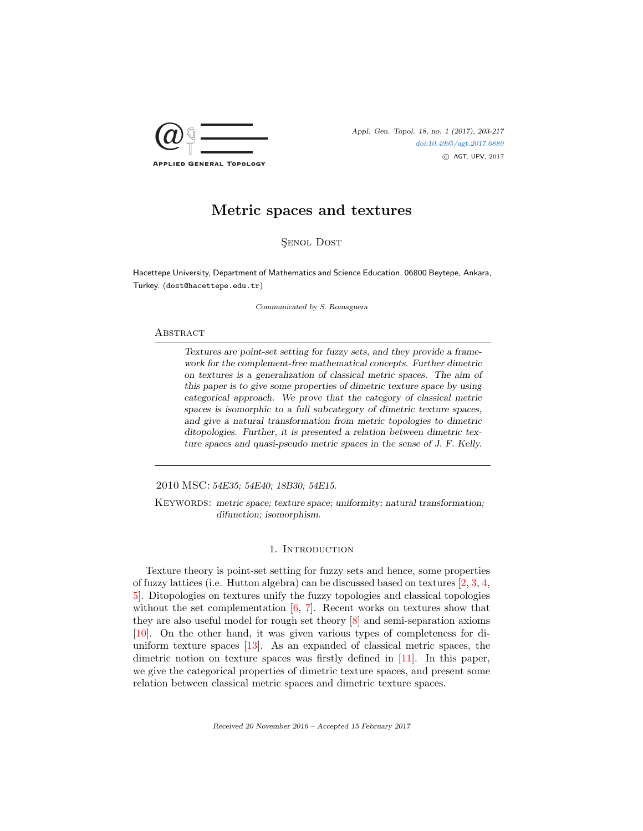

# SENOL DOST

Hacettepe University, Department of Mathematics and Science Education, 06800 Beytepe, Ankara, Turkey. (dost@hacettepe.edu.tr)

Communicated by S. Romaguera

### **ABSTRACT**

Textures are point-set setting for fuzzy sets, and they provide a framework for the complement-free mathematical concepts. Further dimetric on textures is a generalization of classical metric spaces. The aim of this paper is to give some properties of dimetric texture space by using categorical approach. We prove that the category of classical metric spaces is isomorphic to a full subcategory of dimetric texture spaces, and give a natural transformation from metric topologies to dimetric ditopologies. Further, it is presented a relation between dimetric texture spaces and quasi-pseudo metric spaces in the sense of J. F. Kelly.

2010 MSC: 54E35; 54E40; 18B30; 54E15.

KEYWORDS: metric space; texture space; uniformity; natural transformation; difunction; isomorphism.

# 1. INTRODUCTION

Texture theory is point-set setting for fuzzy sets and hence, some properties of fuzzy lattices (i.e. Hutton algebra) can be discussed based on textures [\[2,](#page-14-0) [3,](#page-14-1) [4,](#page-14-2) [5\]](#page-14-3). Ditopologies on textures unify the fuzzy topologies and classical topologies without the set complementation  $[6, 7]$  $[6, 7]$  $[6, 7]$ . Recent works on textures show that they are also useful model for rough set theory [\[8\]](#page-14-6) and semi-separation axioms [\[10\]](#page-14-7). On the other hand, it was given various types of completeness for diuniform texture spaces [\[13\]](#page-14-8). As an expanded of classical metric spaces, the dimetric notion on texture spaces was firstly defined in [\[11\]](#page-14-9). In this paper, we give the categorical properties of dimetric texture spaces, and present some relation between classical metric spaces and dimetric texture spaces.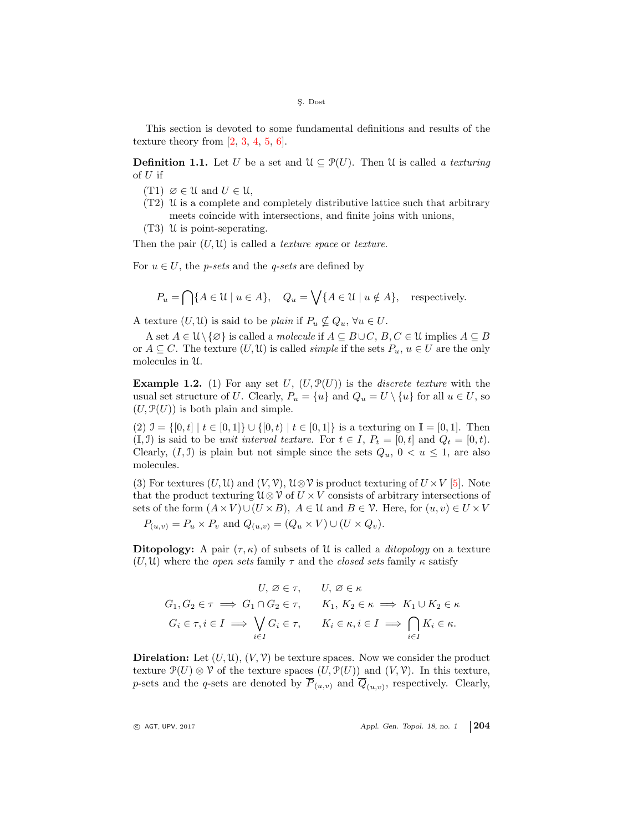This section is devoted to some fundamental definitions and results of the texture theory from  $[2, 3, 4, 5, 6]$  $[2, 3, 4, 5, 6]$  $[2, 3, 4, 5, 6]$  $[2, 3, 4, 5, 6]$  $[2, 3, 4, 5, 6]$  $[2, 3, 4, 5, 6]$  $[2, 3, 4, 5, 6]$  $[2, 3, 4, 5, 6]$  $[2, 3, 4, 5, 6]$ .

**Definition 1.1.** Let U be a set and  $\mathcal{U} \subset \mathcal{P}(U)$ . Then U is called a texturing of  $U$  if

- $(T1) \ \varnothing \in \mathcal{U}$  and  $U \in \mathcal{U}$ ,
- $(T2)$  U is a complete and completely distributive lattice such that arbitrary meets coincide with intersections, and finite joins with unions,
- (T3) U is point-seperating.

Then the pair  $(U, U)$  is called a *texture space* or *texture*.

For  $u \in U$ , the *p-sets* and the *q-sets* are defined by

$$
P_u = \bigcap \{ A \in \mathcal{U} \mid u \in A \}, \quad Q_u = \bigvee \{ A \in \mathcal{U} \mid u \notin A \}, \quad \text{respectively.}
$$

A texture  $(U, \mathfrak{U})$  is said to be plain if  $P_u \nsubseteq Q_u$ ,  $\forall u \in U$ .

A set  $A \in \mathcal{U} \setminus \{\emptyset\}$  is called a *molecule* if  $A \subseteq B \cup C$ ,  $B, C \in \mathcal{U}$  implies  $A \subseteq B$ or  $A \subseteq C$ . The texture  $(U, \mathfrak{U})$  is called *simple* if the sets  $P_u, u \in U$  are the only molecules in U.

**Example 1.2.** (1) For any set U,  $(U, \mathcal{P}(U))$  is the *discrete texture* with the usual set structure of U. Clearly,  $P_u = \{u\}$  and  $Q_u = U \setminus \{u\}$  for all  $u \in U$ , so  $(U, \mathcal{P}(U))$  is both plain and simple.

(2)  $\mathcal{I} = \{[0, t] \mid t \in [0, 1]\} \cup \{[0, t) \mid t \in [0, 1]\}$  is a texturing on  $\mathbb{I} = [0, 1]$ . Then  $(\mathbb{I}, \mathbb{J})$  is said to be *unit interval texture*. For  $t \in I$ ,  $P_t = [0, t]$  and  $Q_t = [0, t)$ . Clearly,  $(I, \mathcal{I})$  is plain but not simple since the sets  $Q_u$ ,  $0 < u \leq 1$ , are also molecules.

(3) For textures  $(U, \mathfrak{U})$  and  $(V, \mathfrak{V})$ ,  $\mathfrak{U} \otimes \mathfrak{V}$  is product texturing of  $U \times V$  [\[5\]](#page-14-3). Note that the product texturing  $\mathcal{U} \otimes \mathcal{V}$  of  $U \times V$  consists of arbitrary intersections of sets of the form  $(A \times V) \cup (U \times B)$ ,  $A \in \mathcal{U}$  and  $B \in \mathcal{V}$ . Here, for  $(u, v) \in U \times V$ 

 $P_{(u,v)} = P_u \times P_v$  and  $Q_{(u,v)} = (Q_u \times V) \cup (U \times Q_v).$ 

Ditopology: A pair  $(\tau, \kappa)$  of subsets of U is called a *ditopology* on a texture  $(U, \mathcal{U})$  where the *open sets* family  $\tau$  and the *closed sets* family  $\kappa$  satisfy

$$
U, \varnothing \in \tau, \qquad U, \varnothing \in \kappa
$$
  
\n
$$
G_1, G_2 \in \tau \implies G_1 \cap G_2 \in \tau, \qquad K_1, K_2 \in \kappa \implies K_1 \cup K_2 \in \kappa
$$
  
\n
$$
G_i \in \tau, i \in I \implies \bigvee_{i \in I} G_i \in \tau, \qquad K_i \in \kappa, i \in I \implies \bigcap_{i \in I} K_i \in \kappa.
$$

**Direlation:** Let  $(U, \mathcal{U}), (V, \mathcal{V})$  be texture spaces. Now we consider the product texture  $\mathcal{P}(U) \otimes \mathcal{V}$  of the texture spaces  $(U, \mathcal{P}(U))$  and  $(V, \mathcal{V})$ . In this texture, p-sets and the q-sets are denoted by  $P_{(u,v)}$  and  $Q_{(u,v)}$ , respectively. Clearly,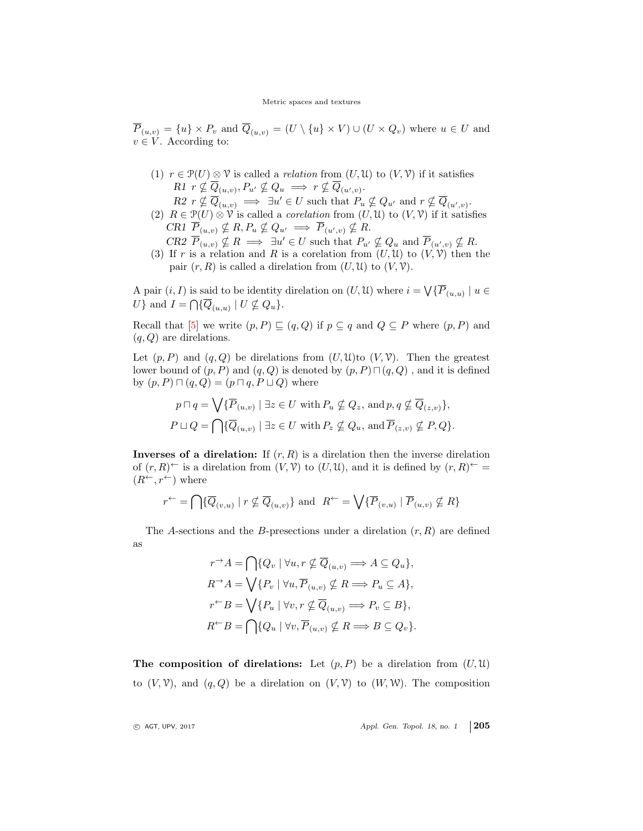$\overline{P}_{(u,v)} = \{u\} \times P_v$  and  $\overline{Q}_{(u,v)} = (U \setminus \{u\} \times V) \cup (U \times Q_v)$  where  $u \in U$  and  $v \in V$ . According to:

- (1)  $r \in \mathcal{P}(U) \otimes \mathcal{V}$  is called a *relation* from  $(U, \mathcal{U})$  to  $(V, \mathcal{V})$  if it satisfies  $R1 \, r \nsubseteq \overline{Q}_{(u,v)}, P_{u'} \nsubseteq Q_u \implies r \nsubseteq \overline{Q}_{(u',v)}.$ 
	- $R2 \, r \nsubseteq \overline{Q}_{(u,v)} \implies \exists u' \in U \text{ such that } P_u \nsubseteq Q_{u'} \text{ and } r \nsubseteq \overline{Q}_{(u',v)}.$
- (2)  $R \in \mathcal{P}(U) \otimes \mathcal{V}$  is called a *corelation* from  $(U, \mathcal{U})$  to  $(V, \mathcal{V})$  if it satisfies CR1  $\overline{P}_{(u,v)} \nsubseteq R$ ,  $P_u \nsubseteq Q_{u'} \implies \overline{P}_{(u',v)} \nsubseteq R$ .
- $CR2 \ \overline{P}_{(u,v)} \nsubseteq R \implies \exists u' \in U \text{ such that } P_{u'} \nsubseteq Q_u \text{ and } \overline{P}_{(u',v)} \nsubseteq R.$ (3) If r is a relation and R is a corelation from  $(U, \mathcal{U})$  to  $(V, \mathcal{V})$  then the pair  $(r, R)$  is called a direlation from  $(U, \mathcal{U})$  to  $(V, \mathcal{V})$ .

A pair  $(i, I)$  is said to be identity direlation on  $(U, \mathfrak{U})$  where  $i = \bigvee {\{\overline{P}_{(u,u)} \mid u \in \mathfrak{U}\}}$ U } and  $I = \bigcap \{ \overline{Q}_{(u,u)} \mid U \nsubseteq Q_u \}.$ 

Recall that [\[5\]](#page-14-3) we write  $(p, P) \sqsubseteq (q, Q)$  if  $p \subseteq q$  and  $Q \subseteq P$  where  $(p, P)$  and  $(q, Q)$  are direlations.

Let  $(p, P)$  and  $(q, Q)$  be direlations from  $(U, \mathfrak{U})$  to  $(V, \mathcal{V})$ . Then the greatest lower bound of  $(p, P)$  and  $(q, Q)$  is denoted by  $(p, P) \sqcap (q, Q)$ , and it is defined by  $(p, P) \sqcap (q, Q) = (p \sqcap q, P \sqcup Q)$  where

$$
p \sqcap q = \bigvee \{ \overline{P}_{(u,v)} \mid \exists z \in U \text{ with } P_u \nsubseteq Q_z \text{, and } p, q \nsubseteq \overline{Q}_{(z,v)} \},
$$
  

$$
P \sqcup Q = \bigcap \{ \overline{Q}_{(u,v)} \mid \exists z \in U \text{ with } P_z \nsubseteq Q_u \text{, and } \overline{P}_{(z,v)} \nsubseteq P, Q \}.
$$

**Inverses of a direlation:** If  $(r, R)$  is a direlation then the inverse direlation of  $(r, R)^{\leftarrow}$  is a direlation from  $(V, V)$  to  $(U, U)$ , and it is defined by  $(r, R)^{\leftarrow}$  =  $(R^{\leftarrow}, r^{\leftarrow})$  where

$$
r^{\leftarrow} = \bigcap \{ \overline{Q}_{(v,u)} \mid r \nsubseteq \overline{Q}_{(u,v)} \} \text{ and } R^{\leftarrow} = \bigvee \{ \overline{P}_{(v,u)} \mid \overline{P}_{(u,v)} \nsubseteq R \}
$$

The A-sections and the B-presections under a direlation  $(r, R)$  are defined as

$$
r^{\rightarrow} A = \bigcap \{Q_v \mid \forall u, r \nsubseteq \overline{Q}_{(u,v)} \Longrightarrow A \subseteq Q_u\},\newline R^{\rightarrow} A = \bigvee \{P_v \mid \forall u, \overline{P}_{(u,v)} \nsubseteq R \Longrightarrow P_u \subseteq A\},\newline r^{\leftarrow} B = \bigvee \{P_u \mid \forall v, r \nsubseteq \overline{Q}_{(u,v)} \Longrightarrow P_v \subseteq B\},\newline R^{\leftarrow} B = \bigcap \{Q_u \mid \forall v, \overline{P}_{(u,v)} \nsubseteq R \Longrightarrow B \subseteq Q_v\}.
$$

The composition of direlations: Let  $(p, P)$  be a direlation from  $(U, \mathfrak{U})$ to  $(V, V)$ , and  $(q, Q)$  be a direlation on  $(V, V)$  to  $(W, W)$ . The composition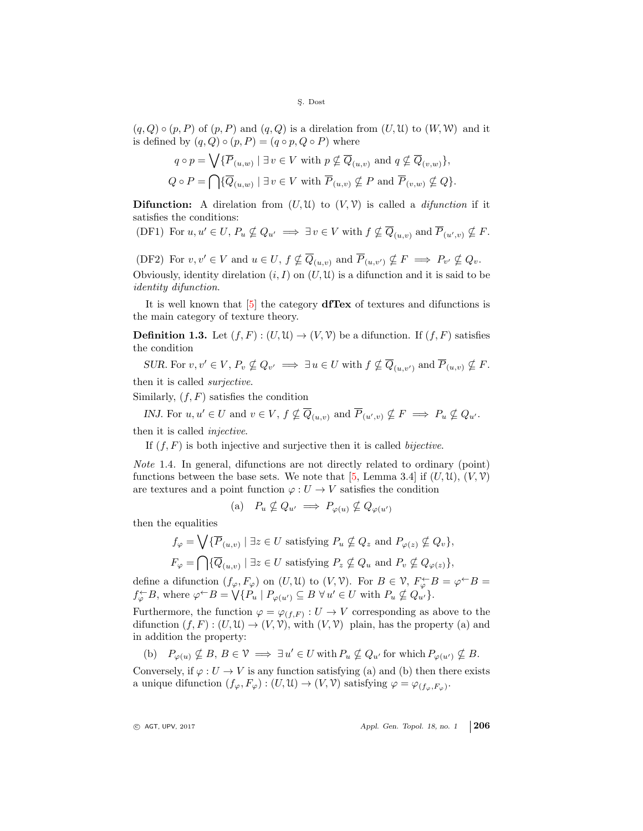$(q, Q) \circ (p, P)$  of  $(p, P)$  and  $(q, Q)$  is a direlation from  $(U, U)$  to  $(W, W)$  and it is defined by  $(q, Q) \circ (p, P) = (q \circ p, Q \circ P)$  where

$$
q \circ p = \bigvee \{ \overline{P}_{(u,w)} \mid \exists v \in V \text{ with } p \nsubseteq \overline{Q}_{(u,v)} \text{ and } q \nsubseteq \overline{Q}_{(v,w)} \},
$$
  

$$
Q \circ P = \bigcap \{ \overline{Q}_{(u,w)} \mid \exists v \in V \text{ with } \overline{P}_{(u,v)} \nsubseteq P \text{ and } \overline{P}_{(v,w)} \nsubseteq Q \}.
$$

**Difunction:** A direlation from  $(U, \mathcal{U})$  to  $(V, \mathcal{V})$  is called a *difunction* if it satisfies the conditions:

(DF1) For  $u, u' \in U$ ,  $P_u \nsubseteq Q_{u'} \implies \exists v \in V$  with  $f \nsubseteq \overline{Q}_{(u,v)}$  and  $\overline{P}_{(u',v)} \nsubseteq F$ .

(DF2) For  $v, v' \in V$  and  $u \in U$ ,  $f \nsubseteq \overline{Q}_{(u,v)}$  and  $\overline{P}_{(u,v')} \nsubseteq F \implies P_{v'} \nsubseteq Q_v$ . Obviously, identity direlation  $(i, I)$  on  $(U, \mathfrak{U})$  is a difunction and it is said to be identity difunction.

It is well known that [\[5\]](#page-14-3) the category dfTex of textures and difunctions is the main category of texture theory.

**Definition 1.3.** Let  $(f, F) : (U, \mathcal{U}) \to (V, \mathcal{V})$  be a difunction. If  $(f, F)$  satisfies the condition

SUR. For  $v, v' \in V$ ,  $P_v \nsubseteq Q_{v'} \implies \exists u \in U$  with  $f \nsubseteq \overline{Q}_{(u,v')}$  and  $\overline{P}_{(u,v)} \nsubseteq F$ .

then it is called surjective.

Similarly,  $(f, F)$  satisfies the condition

INJ. For  $u, u' \in U$  and  $v \in V$ ,  $f \nsubseteq \overline{Q}_{(u,v)}$  and  $\overline{P}_{(u',v)} \nsubseteq F \implies P_u \nsubseteq Q_{u'}$ .

then it is called injective.

If  $(f, F)$  is both injective and surjective then it is called *bijective*.

<span id="page-3-0"></span>Note 1.4. In general, difunctions are not directly related to ordinary (point) functions between the base sets. We note that [\[5,](#page-14-3) Lemma 3.4] if  $(U, \mathcal{U}), (V, \mathcal{V})$ are textures and a point function  $\varphi: U \to V$  satisfies the condition

(a) 
$$
P_u \nsubseteq Q_{u'} \implies P_{\varphi(u)} \nsubseteq Q_{\varphi(u')}
$$

then the equalities

$$
f_{\varphi} = \bigvee \{ \overline{P}_{(u,v)} \mid \exists z \in U \text{ satisfying } P_u \nsubseteq Q_z \text{ and } P_{\varphi(z)} \nsubseteq Q_v \},
$$
  

$$
F_{\varphi} = \bigcap \{ \overline{Q}_{(u,v)} \mid \exists z \in U \text{ satisfying } P_z \nsubseteq Q_u \text{ and } P_v \nsubseteq Q_{\varphi(z)} \},
$$

define a difunction  $(f_{\varphi}, F_{\varphi})$  on  $(U, \mathcal{U})$  to  $(V, \mathcal{V})$ . For  $B \in \mathcal{V}$ ,  $F_{\varphi}^{\leftarrow} B = \varphi^{\leftarrow} B =$  $f_{\varphi}^{\leftarrow}B$ , where  $\varphi^{\leftarrow}B = \bigvee \{P_u \mid P_{\varphi(u')} \subseteq B \ \forall u' \in U \text{ with } P_u \nsubseteq Q_{u'}\}.$ 

Furthermore, the function  $\varphi = \varphi_{(f,F)} : U \to V$  corresponding as above to the difunction  $(f, F) : (U, \mathcal{U}) \to (V, \mathcal{V})$ , with  $(V, \mathcal{V})$  plain, has the property (a) and in addition the property:

(b)  $P_{\varphi(u)} \nsubseteq B, B \in \mathcal{V} \implies \exists u' \in U \text{ with } P_u \nsubseteq Q_{u'} \text{ for which } P_{\varphi(u')} \nsubseteq B.$ 

Conversely, if  $\varphi: U \to V$  is any function satisfying (a) and (b) then there exists a unique difunction  $(f_{\varphi}, F_{\varphi}) : (U, \mathfrak{U}) \to (V, \mathcal{V})$  satisfying  $\varphi = \varphi_{(f_{\varphi}, F_{\varphi})}$ .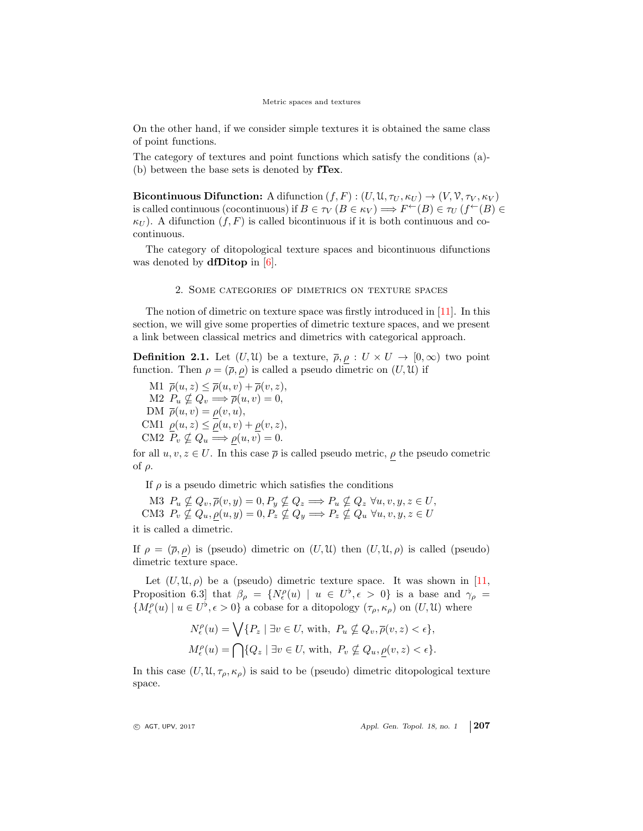On the other hand, if we consider simple textures it is obtained the same class of point functions.

The category of textures and point functions which satisfy the conditions (a)- (b) between the base sets is denoted by fTex.

Bicontinuous Difunction: A difunction  $(f, F) : (U, \mathfrak{U}, \tau_U, \kappa_U) \to (V, \mathfrak{V}, \tau_V, \kappa_V)$ is called continuous (cocontinuous) if  $B \in \tau_V (B \in \kappa_V) \Longrightarrow F^{\leftarrow}(B) \in \tau_U (f^{\leftarrow}(B) \in$  $\kappa_U$ ). A difunction  $(f, F)$  is called bicontinuous if it is both continuous and cocontinuous.

The category of ditopological texture spaces and bicontinuous difunctions was denoted by **dfDitop** in  $[6]$ .

## 2. Some categories of dimetrics on texture spaces

The notion of dimetric on texture space was firstly introduced in [\[11\]](#page-14-9). In this section, we will give some properties of dimetric texture spaces, and we present a link between classical metrics and dimetrics with categorical approach.

**Definition 2.1.** Let  $(U, \mathcal{U})$  be a texture,  $\overline{\rho}, \rho : U \times U \rightarrow [0, \infty)$  two point function. Then  $\rho = (\overline{\rho}, \rho)$  is called a pseudo dimetric on  $(U, \mathfrak{U})$  if

M1  $\overline{\rho}(u, z) \leq \overline{\rho}(u, v) + \overline{\rho}(v, z),$ M2  $P_u \nsubseteq Q_v \Longrightarrow \overline{\rho}(u, v) = 0,$ DM  $\overline{\rho}(u,v) = \rho(v,u),$ CM1  $\rho(u, z) \leq \rho(u, v) + \rho(v, z)$ , CM2  $P_v \nsubseteq Q_u \Longrightarrow \rho(u, v) = 0.$ 

for all  $u, v, z \in U$ . In this case  $\overline{\rho}$  is called pseudo metric,  $\underline{\rho}$  the pseudo cometric of  $ρ$ .

If  $\rho$  is a pseudo dimetric which satisfies the conditions

M3  $P_u \nsubseteq Q_v, \overline{\rho}(v, y) = 0, P_y \nsubseteq Q_z \Longrightarrow P_u \nsubseteq Q_z \,\forall u, v, y, z \in U$ , CM3  $P_v \nsubseteq Q_u, \rho(u, y) = 0, P_z \nsubseteq Q_y \Longrightarrow P_z \nsubseteq Q_u \,\forall u, v, y, z \in U$ it is called a dimetric.

If  $\rho = (\overline{\rho}, \rho)$  is (pseudo) dimetric on  $(U, \mathfrak{U})$  then  $(U, \mathfrak{U}, \rho)$  is called (pseudo) dimetric texture space.

Let  $(U, \mathfrak{U}, \rho)$  be a (pseudo) dimetric texture space. It was shown in [\[11,](#page-14-9) Proposition 6.3 that  $\beta_{\rho} = \{N_{\epsilon}^{\rho}(u) \mid u \in U^{\flat}, \epsilon > 0\}$  is a base and  $\gamma_{\rho} =$  ${M_{\epsilon}^{\rho}(u) \mid u \in U^{\flat}, \epsilon > 0}$  a cobase for a ditopology  $(\tau_{\rho}, \kappa_{\rho})$  on  $(U, \mathfrak{U})$  where

$$
N_{\epsilon}^{\rho}(u) = \bigvee \{ P_z \mid \exists v \in U, \text{ with, } P_u \nsubseteq Q_v, \overline{\rho}(v, z) < \epsilon \},
$$
  

$$
M_{\epsilon}^{\rho}(u) = \bigcap \{ Q_z \mid \exists v \in U, \text{ with, } P_v \nsubseteq Q_u, \underline{\rho}(v, z) < \epsilon \}.
$$

In this case  $(U, \mathfrak{U}, \tau_{\rho}, \kappa_{\rho})$  is said to be (pseudo) dimetric ditopological texture space.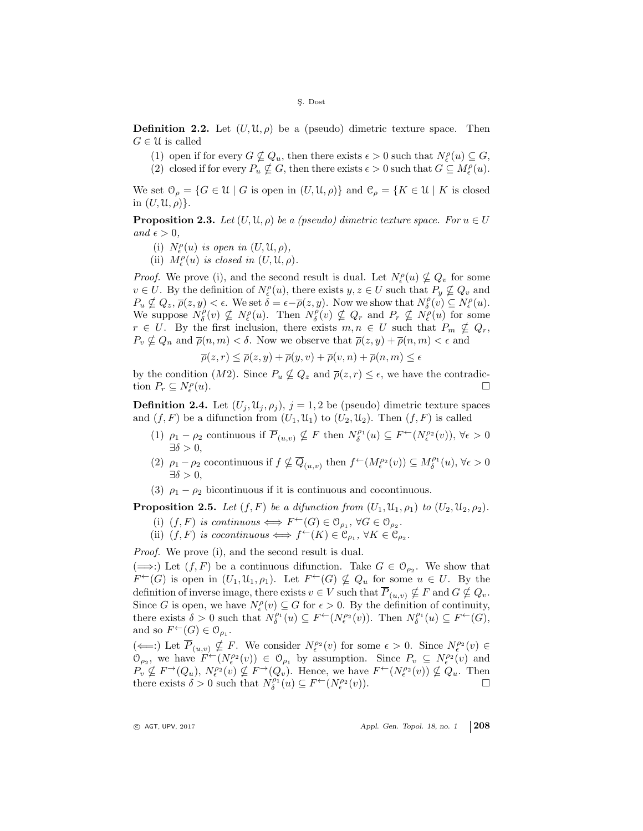**Definition 2.2.** Let  $(U, \mathcal{U}, \rho)$  be a (pseudo) dimetric texture space. Then  $G \in \mathcal{U}$  is called

- (1) open if for every  $G \nsubseteq Q_u$ , then there exists  $\epsilon > 0$  such that  $N_{\epsilon}^{\rho}(u) \subseteq G$ ,
- (2) closed if for every  $P_u \nsubseteq G$ , then there exists  $\epsilon > 0$  such that  $G \subseteq M_{\epsilon}^{\rho}(u)$ .

We set  $\mathcal{O}_{\rho} = \{G \in \mathcal{U} \mid G \text{ is open in } (U, \mathcal{U}, \rho)\}\$ and  $\mathcal{C}_{\rho} = \{K \in \mathcal{U} \mid K \text{ is closed}\}$ in  $(U, \mathfrak{U}, \rho)$ .

**Proposition 2.3.** Let  $(U, \mathfrak{U}, \rho)$  be a (pseudo) dimetric texture space. For  $u \in U$ and  $\epsilon > 0$ .

- (i)  $N_{\epsilon}^{\rho}(u)$  is open in  $(U, \mathfrak{U}, \rho),$
- (ii)  $M_{\epsilon}^{\rho}(u)$  is closed in  $(U, \mathfrak{U}, \rho)$ .

*Proof.* We prove (i), and the second result is dual. Let  $N_{\epsilon}^{\rho}(u) \nsubseteq Q_{v}$  for some  $v \in U$ . By the definition of  $N_{\epsilon}^{\rho}(u)$ , there exists  $y, z \in U$  such that  $P_y \nsubseteq Q_v$  and  $P_u \nsubseteq Q_z$ ,  $\overline{\rho}(z, y) < \epsilon$ . We set  $\delta = \epsilon - \overline{\rho}(z, y)$ . Now we show that  $N^{\rho}_{\delta}(v) \subseteq N^{\rho}_{\epsilon}(u)$ . We suppose  $N_{\delta}^{\rho}(v) \nsubseteq N_{\epsilon}^{\rho}(u)$ . Then  $N_{\delta}^{\rho}(v) \nsubseteq Q_r$  and  $P_r \nsubseteq N_{\epsilon}^{\rho}(u)$  for some  $r \in U$ . By the first inclusion, there exists  $m, n \in U$  such that  $P_m \nsubseteq Q_r$ ,  $P_v \nsubseteq Q_n$  and  $\overline{\rho}(n,m) < \delta$ . Now we observe that  $\overline{\rho}(z,y) + \overline{\rho}(n,m) < \epsilon$  and

$$
\overline{\rho}(z,r) \le \overline{\rho}(z,y) + \overline{\rho}(y,v) + \overline{\rho}(v,n) + \overline{\rho}(n,m) \le \epsilon
$$

by the condition  $(M2)$ . Since  $P_u \nsubseteq Q_z$  and  $\overline{\rho}(z, r) \leq \epsilon$ , we have the contradiction  $P_r \subseteq N^\rho_\epsilon$  $(u)$ .

**Definition 2.4.** Let  $(U_i, \mathfrak{U}_i, \rho_i)$ ,  $j = 1, 2$  be (pseudo) dimetric texture spaces and  $(f, F)$  be a difunction from  $(U_1, \mathfrak{U}_1)$  to  $(U_2, \mathfrak{U}_2)$ . Then  $(f, F)$  is called

- (1)  $\rho_1 \rho_2$  continuous if  $\overline{P}_{(u,v)} \nsubseteq F$  then  $N^{\rho_1}_{\delta}(u) \subseteq F^{\leftarrow}(N^{\rho_2}_{\epsilon}(v)), \forall \epsilon > 0$  $\exists \delta > 0.$
- (2)  $\rho_1 \rho_2$  cocontinuous if  $f \nsubseteq \overline{Q}_{(u,v)}$  then  $f^{\leftarrow}(M^{p_2}_{\epsilon}(v)) \subseteq M^{p_1}_{\delta}(u)$ ,  $\forall \epsilon > 0$  $\exists \delta > 0,$
- (3)  $\rho_1 \rho_2$  bicontinuous if it is continuous and cocontinuous.

**Proposition 2.5.** Let  $(f, F)$  be a difunction from  $(U_1, \mathfrak{U}_1, \rho_1)$  to  $(U_2, \mathfrak{U}_2, \rho_2)$ .

- (i)  $(f, F)$  is continuous  $\Longleftrightarrow F^{\leftarrow}(G) \in \mathcal{O}_{\rho_1}, \ \forall G \in \mathcal{O}_{\rho_2}.$
- (ii)  $(f, F)$  is cocontinuous  $\Longleftrightarrow f^{\leftarrow}(K) \in \mathfrak{C}_{\rho_1}, \forall K \in \mathfrak{C}_{\rho_2}.$

Proof. We prove (i), and the second result is dual.

( $\implies$ :) Let (f, F) be a continuous difunction. Take G ∈  $\mathcal{O}_{\rho_2}$ . We show that  $F^{\leftarrow}(G)$  is open in  $(U_1, \mathfrak{U}_1, \rho_1)$ . Let  $F^{\leftarrow}(G) \nsubseteq Q_u$  for some  $u \in U$ . By the definition of inverse image, there exists  $v \in V$  such that  $\overline{P}_{(u,v)} \nsubseteq F$  and  $G \nsubseteq Q_v$ . Since G is open, we have  $N_{\epsilon}^{\rho}(v) \subseteq G$  for  $\epsilon > 0$ . By the definition of continuity, there exists  $\delta > 0$  such that  $N_{\delta}^{\rho_1}(u) \subseteq F^{\leftarrow}(N_{\epsilon}^{\rho_2}(v))$ . Then  $N_{\delta}^{\rho_1}(u) \subseteq F^{\leftarrow}(G)$ , and so  $F^{\leftarrow}(G) \in \mathcal{O}_{\rho_1}$ .

 $(\Leftarrow):$  Let  $\overline{P}_{(u,v)} \nsubseteq F$ . We consider  $N_{\epsilon}^{\rho_2}(v)$  for some  $\epsilon > 0$ . Since  $N_{\epsilon}^{\rho_2}(v) \in$  $\mathcal{O}_{\rho_2}$ , we have  $F^{\leftarrow}(N_{\epsilon}^{\rho_2}(v)) \in \mathcal{O}_{\rho_1}$  by assumption. Since  $P_v \subseteq N_{\epsilon}^{\rho_2}(v)$  and  $P_v \nsubseteq F^{\rightarrow}(Q_u)$ ,  $N_{\epsilon}^{\rho_2}(v) \nsubseteq F^{\rightarrow}(Q_v)$ . Hence, we have  $F^{\leftarrow}(N_{\epsilon}^{\rho_2}(v)) \nsubseteq Q_u$ . Then there exists  $\delta > 0$  such that  $N_{\delta}^{\rho_1}(u) \subseteq F^{\leftarrow}(N_{\epsilon}^{\rho_2}(v)).$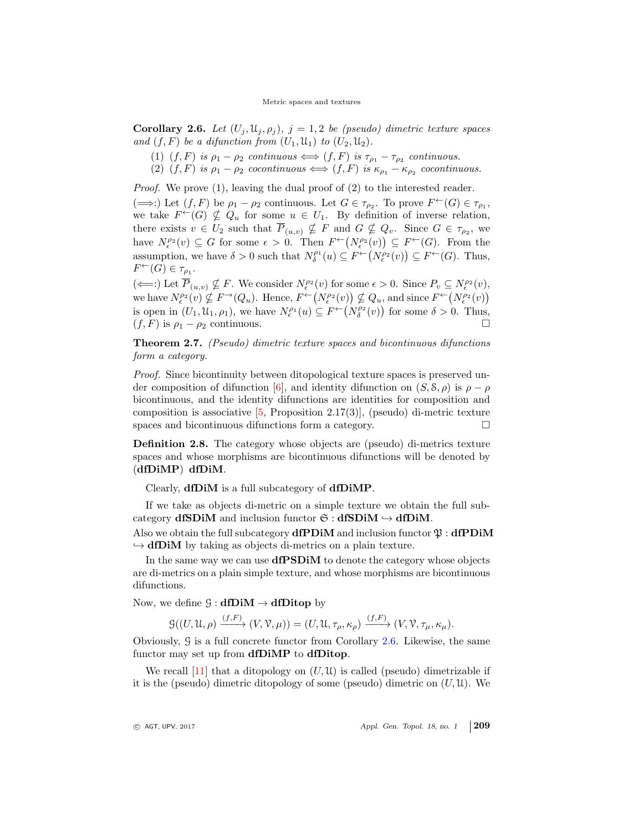<span id="page-6-0"></span>Corollary 2.6. Let  $(U_i, \mathfrak{U}_i, \rho_i)$ ,  $j = 1, 2$  be (pseudo) dimetric texture spaces and  $(f, F)$  be a difunction from  $(U_1, \mathfrak{U}_1)$  to  $(U_2, \mathfrak{U}_2)$ .

- (1)  $(f, F)$  is  $\rho_1 \rho_2$  continuous  $\iff (f, F)$  is  $\tau_{\rho_1} \tau_{\rho_2}$  continuous.
- (2)  $(f, F)$  is  $\rho_1 \rho_2$  cocontinuous  $\iff (f, F)$  is  $\kappa_{\rho_1} \kappa_{\rho_2}$  cocontinuous.

Proof. We prove (1), leaving the dual proof of (2) to the interested reader.

 $(\implies)$  Let  $(f, F)$  be  $\rho_1 - \rho_2$  continuous. Let  $G \in \tau_{\rho_2}$ . To prove  $F^{\leftarrow}(G) \in \tau_{\rho_1}$ , we take  $F^{\leftarrow}(G) \nsubseteq Q_u$  for some  $u \in U_1$ . By definition of inverse relation, there exists  $v \in U_2$  such that  $\overline{P}_{(u,v)} \nsubseteq F$  and  $G \nsubseteq Q_v$ . Since  $G \in \tau_{\rho_2}$ , we have  $N_{\epsilon}^{\rho_2}(v) \subseteq G$  for some  $\epsilon > 0$ . Then  $F^{\leftarrow}(N_{\epsilon}^{\rho_2}(v)) \subseteq F^{\leftarrow}(G)$ . From the assumption, we have  $\delta > 0$  such that  $N_{\delta}^{\rho_1}(u) \subseteq F^{\leftarrow}(N_{\epsilon}^{\rho_2}(v)) \subseteq F^{\leftarrow}(G)$ . Thus,  $F^{\leftarrow}(G) \in \tau_{\rho_1}.$ 

 $(\Leftarrow):$  Let  $\overline{P}_{(u,v)} \nsubseteq F$ . We consider  $N_{\epsilon}^{\rho_2}(v)$  for some  $\epsilon > 0$ . Since  $P_v \subseteq N_{\epsilon}^{\rho_2}(v)$ , we have  $N_{\epsilon}^{p_2}(v) \nsubseteq F^{\rightarrow}(Q_u)$ . Hence,  $F^{\leftarrow}(N_{\epsilon}^{p_2}(v)) \nsubseteq Q_u$ , and since  $F^{\leftarrow}(N_{\epsilon}^{p_2}(v))$ is open in  $(U_1, \mathcal{U}_1, \rho_1)$ , we have  $N_{\epsilon}^{\rho_1}(u) \subseteq F^{\leftarrow}(N_{\delta}^{\rho_2}(v))$  for some  $\delta > 0$ . Thus,  $(f, F)$  is  $\rho_1 - \rho_2$  continuous.

Theorem 2.7. (Pseudo) dimetric texture spaces and bicontinuous difunctions form a category.

Proof. Since bicontinuity between ditopological texture spaces is preserved un-der composition of difunction [\[6\]](#page-14-4), and identity difunction on  $(S, \mathcal{S}, \rho)$  is  $\rho - \rho$ bicontinuous, and the identity difunctions are identities for composition and composition is associative  $[5,$  Proposition 2.17(3)], (pseudo) di-metric texture spaces and bicontinuous difunctions form a category.

Definition 2.8. The category whose objects are (pseudo) di-metrics texture spaces and whose morphisms are bicontinuous difunctions will be denoted by (dfDiMP) dfDiM.

Clearly, dfDiM is a full subcategory of dfDiMP.

If we take as objects di-metric on a simple texture we obtain the full subcategory dfSDiM and inclusion functor  $\mathfrak{S}: dfSDiM \hookrightarrow dfDiM$ .

Also we obtain the full subcategory **dfPDiM** and inclusion functor  $\mathfrak{P}$  : **dfPDiM**  $\hookrightarrow$  dfDiM by taking as objects di-metrics on a plain texture.

In the same way we can use **dfPSDiM** to denote the category whose objects are di-metrics on a plain simple texture, and whose morphisms are bicontinuous difunctions.

Now, we define  $\mathcal{G} : dfDiM \rightarrow dfDitop$  by

$$
\mathcal{G}((U,\mathcal{U},\rho) \xrightarrow{(f,F)} (V,\mathcal{V},\mu)) = (U,\mathcal{U},\tau_{\rho},\kappa_{\rho}) \xrightarrow{(f,F)} (V,\mathcal{V},\tau_{\mu},\kappa_{\mu}).
$$

Obviously, G is a full concrete functor from Corollary [2.6.](#page-6-0) Likewise, the same functor may set up from **dfDiMP** to **dfDitop**.

We recall [\[11\]](#page-14-9) that a ditopology on  $(U, \mathcal{U})$  is called (pseudo) dimetrizable if it is the (pseudo) dimetric ditopology of some (pseudo) dimetric on  $(U, \mathcal{U})$ . We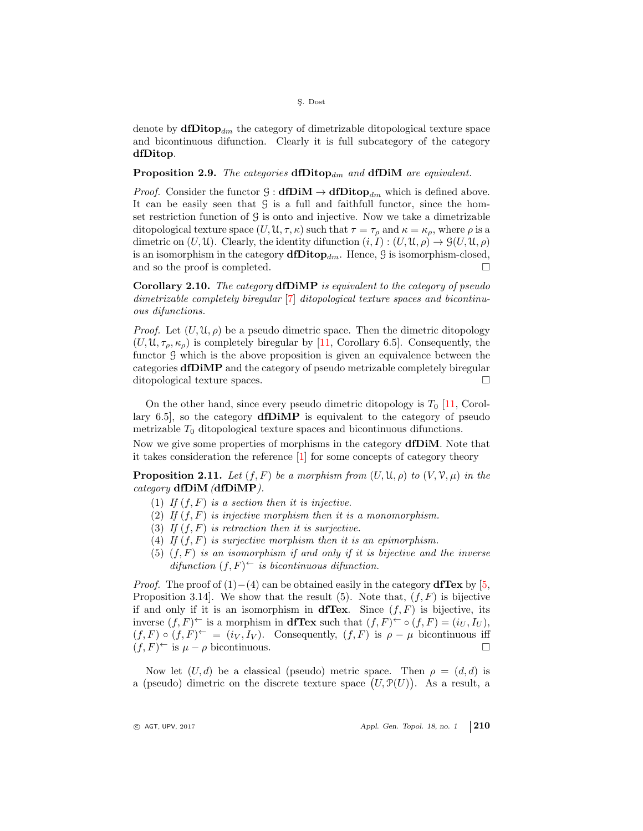denote by  $\mathrm{d}f\mathrm{D}f\mathrm{d}v_{dm}$  the category of dimetrizable ditopological texture space and bicontinuous difunction. Clearly it is full subcategory of the category dfDitop.

**Proposition 2.9.** The categories  $dfDitop_{dm}$  and  $dfDiM$  are equivalent.

*Proof.* Consider the functor  $\mathcal{G} : \mathbf{d} \mathbf{D} \mathbf{i} \mathbf{M} \to \mathbf{d} \mathbf{D} \mathbf{it} \mathbf{op}_{dm}$  which is defined above. It can be easily seen that G is a full and faithfull functor, since the homset restriction function of  $\mathcal G$  is onto and injective. Now we take a dimetrizable ditopological texture space  $(U, \mathfrak{U}, \tau, \kappa)$  such that  $\tau = \tau_{\rho}$  and  $\kappa = \kappa_{\rho}$ , where  $\rho$  is a dimetric on  $(U, \mathcal{U})$ . Clearly, the identity difunction  $(i, I) : (U, \mathcal{U}, \rho) \to \mathcal{G}(U, \mathcal{U}, \rho)$ is an isomorphism in the category  $\text{d}\text{Ditop}_{dm}$ . Hence,  $\mathcal G$  is isomorphism-closed, and so the proof is completed.

Corollary 2.10. The category dfDiMP is equivalent to the category of pseudo dimetrizable completely biregular [\[7\]](#page-14-5) ditopological texture spaces and bicontinuous difunctions.

*Proof.* Let  $(U, \mathfrak{U}, \rho)$  be a pseudo dimetric space. Then the dimetric ditopology  $(U, \mathfrak{U}, \tau_{\rho}, \kappa_{\rho})$  is completely biregular by [\[11,](#page-14-9) Corollary 6.5]. Consequently, the functor G which is the above proposition is given an equivalence between the categories dfDiMP and the category of pseudo metrizable completely biregular ditopological texture spaces.

On the other hand, since every pseudo dimetric ditopology is  $T_0$  [\[11,](#page-14-9) Corollary 6.5], so the category dfDiMP is equivalent to the category of pseudo metrizable  $T_0$  ditopological texture spaces and bicontinuous difunctions.

Now we give some properties of morphisms in the category dfDiM. Note that it takes consideration the reference [\[1\]](#page-14-10) for some concepts of category theory

**Proposition 2.11.** Let  $(f, F)$  be a morphism from  $(U, \mathfrak{U}, \rho)$  to  $(V, \mathfrak{V}, \mu)$  in the category  $dfDiM$  (dfDiMP).

- (1) If  $(f, F)$  is a section then it is injective.
- (2) If  $(f, F)$  is injective morphism then it is a monomorphism.
- (3) If  $(f, F)$  is retraction then it is surjective.
- (4) If  $(f, F)$  is surjective morphism then it is an epimorphism.
- (5)  $(f, F)$  is an isomorphism if and only if it is bijective and the inverse difunction  $(f, F)$ <sup> $\leftarrow$ </sup> is bicontinuous difunction.

*Proof.* The proof of  $(1)–(4)$  can be obtained easily in the category **dfTex** by [\[5,](#page-14-3) Proposition 3.14]. We show that the result (5). Note that,  $(f, F)$  is bijective if and only if it is an isomorphism in diffex. Since  $(f, F)$  is bijective, its inverse  $(f, F)^\leftarrow$  is a morphism in **dfTex** such that  $(f, F)^\leftarrow \circ (f, F) = (i_U, I_U)$ ,  $(f, F) \circ (f, F)^{\leftarrow} = (i_V, I_V)$ . Consequently,  $(f, F)$  is  $\rho - \mu$  bicontinuous iff  $(f, F)^\leftarrow$  is  $\mu - \rho$  bicontinuous.

Now let  $(U, d)$  be a classical (pseudo) metric space. Then  $\rho = (d, d)$  is a (pseudo) dimetric on the discrete texture space  $(U, \mathcal{P}(U))$ . As a result, a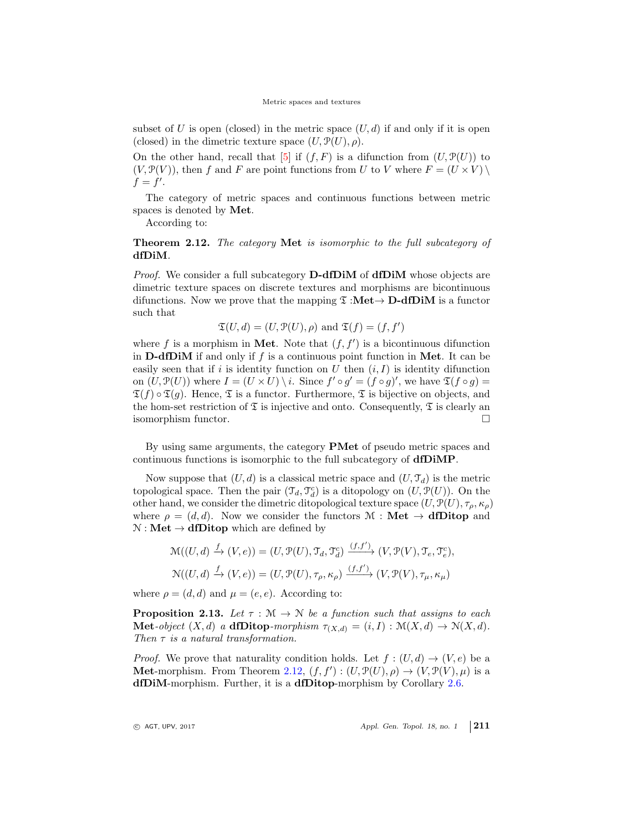subset of U is open (closed) in the metric space  $(U, d)$  if and only if it is open (closed) in the dimetric texture space  $(U, \mathcal{P}(U), \rho)$ .

On the other hand, recall that  $[5]$  if  $(f, F)$  is a difunction from  $(U, \mathcal{P}(U))$  to  $(V, \mathcal{P}(V))$ , then f and F are point functions from U to V where  $F = (U \times V) \setminus$  $f = f'$ .

The category of metric spaces and continuous functions between metric spaces is denoted by Met.

According to:

<span id="page-8-0"></span>Theorem 2.12. The category Met is isomorphic to the full subcategory of dfDiM.

Proof. We consider a full subcategory **D-dfDiM** of **dfDiM** whose objects are dimetric texture spaces on discrete textures and morphisms are bicontinuous difunctions. Now we prove that the mapping  $\mathfrak{T}$  :**Met** $\rightarrow$  **D-dfDiM** is a functor such that

$$
\mathfrak{T}(U, d) = (U, \mathfrak{P}(U), \rho)
$$
 and  $\mathfrak{T}(f) = (f, f')$ 

where f is a morphism in Met. Note that  $(f, f')$  is a bicontinuous difunction in **D-dfDiM** if and only if f is a continuous point function in Met. It can be easily seen that if i is identity function on  $U$  then  $(i, I)$  is identity difunction on  $(U, \mathcal{P}(U))$  where  $I = (U \times U) \setminus i$ . Since  $f' \circ g' = (f \circ g)'$ , we have  $\mathfrak{T}(f \circ g) =$  $\mathfrak{T}(f) \circ \mathfrak{T}(q)$ . Hence,  $\mathfrak{T}$  is a functor. Furthermore,  $\mathfrak{T}$  is bijective on objects, and the hom-set restriction of  $\mathfrak T$  is injective and onto. Consequently,  $\mathfrak T$  is clearly an isomorphism functor.

By using same arguments, the category PMet of pseudo metric spaces and continuous functions is isomorphic to the full subcategory of dfDiMP.

Now suppose that  $(U, d)$  is a classical metric space and  $(U, \mathcal{T}_d)$  is the metric topological space. Then the pair  $(\mathcal{T}_d, \mathcal{T}_d^c)$  is a ditopology on  $(U, \mathcal{P}(U))$ . On the other hand, we consider the dimetric ditopological texture space  $(U, \mathcal{P}(U), \tau_o, \kappa_o)$ where  $\rho = (d, d)$ . Now we consider the functors  $\mathcal{M} : \mathbf{Met} \to \mathbf{dfDitop}$  and  $N : Met \to dfDitop$  which are defined by

$$
\mathcal{M}((U, d) \xrightarrow{f} (V, e)) = (U, \mathcal{P}(U), \mathcal{T}_d, \mathcal{T}_d^c) \xrightarrow{(f, f')} (V, \mathcal{P}(V), \mathcal{T}_e, \mathcal{T}_e^c),
$$
  

$$
\mathcal{N}((U, d) \xrightarrow{f} (V, e)) = (U, \mathcal{P}(U), \tau_\rho, \kappa_\rho) \xrightarrow{(f, f')} (V, \mathcal{P}(V), \tau_\mu, \kappa_\mu)
$$

where  $\rho = (d, d)$  and  $\mu = (e, e)$ . According to:

**Proposition 2.13.** Let  $\tau : \mathcal{M} \to \mathcal{N}$  be a function such that assigns to each **Met-**object  $(X, d)$  a **dfDitop**-morphism  $\tau_{(X, d)} = (i, I) : \mathcal{M}(X, d) \to \mathcal{N}(X, d)$ . Then  $\tau$  is a natural transformation.

*Proof.* We prove that naturality condition holds. Let  $f : (U, d) \rightarrow (V, e)$  be a **Met-morphism.** From Theorem [2.12,](#page-8-0)  $(f, f') : (U, \mathcal{P}(U), \rho) \to (V, \mathcal{P}(V), \mu)$  is a dfDiM-morphism. Further, it is a dfDitop-morphism by Corollary [2.6.](#page-6-0)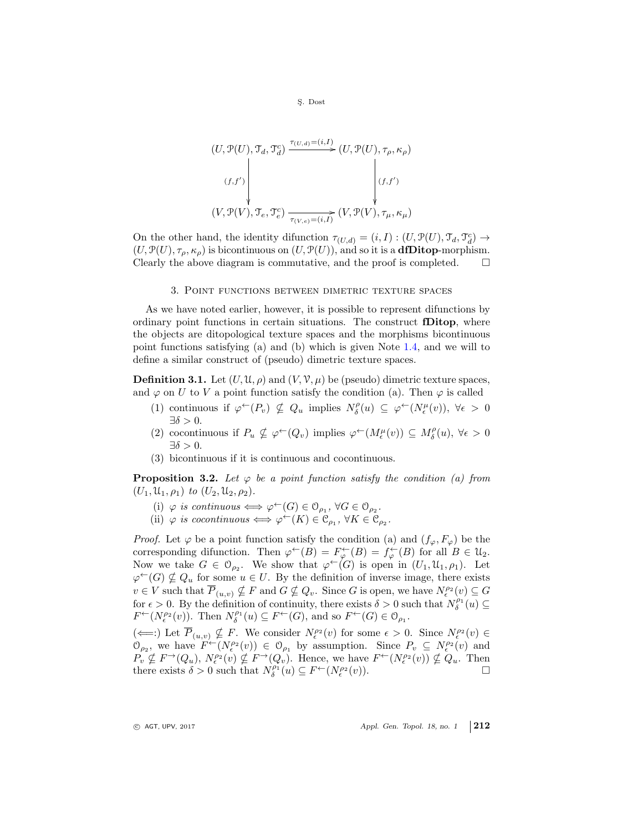S¸. Dost

$$
(U, \mathcal{P}(U), \mathcal{T}_d, \mathcal{T}_d) \xrightarrow{\tau_{(U,d)} = (i, I)} (U, \mathcal{P}(U), \tau_\rho, \kappa_\rho)
$$
\n
$$
(f, f') \downarrow \qquad (f, f')
$$
\n
$$
(V, \mathcal{P}(V), \mathcal{T}_e, \mathcal{T}_e^c) \xrightarrow[\tau_{(V,e)} = (i, I)]} (V, \mathcal{P}(V), \tau_\mu, \kappa_\mu)
$$

On the other hand, the identity difunction  $\tau_{(U,d)} = (i, I) : (U, \mathcal{P}(U), \mathcal{T}_d, \mathcal{T}_d^c) \to$  $(U, \mathcal{P}(U), \tau_{\rho}, \kappa_{\rho})$  is bicontinuous on  $(U, \mathcal{P}(U))$ , and so it is a **dfDitop-morphism.** Clearly the above diagram is commutative, and the proof is completed.  $\Box$ 

#### 3. Point functions between dimetric texture spaces

As we have noted earlier, however, it is possible to represent difunctions by ordinary point functions in certain situations. The construct fDitop, where the objects are ditopological texture spaces and the morphisms bicontinuous point functions satisfying (a) and (b) which is given Note [1.4,](#page-3-0) and we will to define a similar construct of (pseudo) dimetric texture spaces.

**Definition 3.1.** Let  $(U, \mathfrak{U}, \rho)$  and  $(V, \mathfrak{V}, \mu)$  be (pseudo) dimetric texture spaces, and  $\varphi$  on U to V a point function satisfy the condition (a). Then  $\varphi$  is called

- (1) continuous if  $\varphi^{\leftarrow}(P_v) \nsubseteq Q_u$  implies  $N_{\delta}^{\rho}(u) \subseteq \varphi^{\leftarrow}(N_{\epsilon}^{\mu}(v)), \forall \epsilon > 0$  $\exists \delta > 0.$
- (2) cocontinuous if  $P_u \nsubseteq \varphi^{\leftarrow}(Q_v)$  implies  $\varphi^{\leftarrow}(M_{\epsilon}^{\mu}(v)) \subseteq M_{\delta}^{\rho}(u), \forall \epsilon > 0$  $\exists \delta > 0.$
- (3) bicontinuous if it is continuous and cocontinuous.

**Proposition 3.2.** Let  $\varphi$  be a point function satisfy the condition (a) from  $(U_1, \mathcal{U}_1, \rho_1)$  to  $(U_2, \mathcal{U}_2, \rho_2)$ .

- (i)  $\varphi$  is continuous  $\Longleftrightarrow \varphi^{\leftarrow}(G) \in \mathcal{O}_{\rho_1}, \ \forall G \in \mathcal{O}_{\rho_2}.$
- (ii)  $\varphi$  is cocontinuous  $\Longleftrightarrow \varphi^{\leftarrow}(K) \in \mathfrak{C}_{\rho_1}, \forall K \in \mathfrak{C}_{\rho_2}.$

*Proof.* Let  $\varphi$  be a point function satisfy the condition (a) and  $(f_{\varphi}, F_{\varphi})$  be the corresponding difunction. Then  $\varphi^{\leftarrow}(B) = F_{\varphi}^{\leftarrow}(B) = f_{\varphi}^{\leftarrow}(B)$  for all  $B \in \mathcal{U}_2$ . Now we take  $G \in \mathcal{O}_{\rho_2}$ . We show that  $\varphi^{\leftarrow}(G)$  is open in  $(U_1, \mathcal{U}_1, \rho_1)$ . Let  $\varphi^{\leftarrow}(G) \nsubseteq Q_u$  for some  $u \in U$ . By the definition of inverse image, there exists  $v \in V$  such that  $\overline{P}_{(u,v)} \nsubseteq F$  and  $G \nsubseteq Q_v$ . Since G is open, we have  $N_{\epsilon}^{p_2}(v) \subseteq G$ for  $\epsilon > 0$ . By the definition of continuity, there exists  $\delta > 0$  such that  $N_{\delta}^{\rho_1}(u) \subseteq$  $F^{\leftarrow}(N_{\epsilon}^{\rho_2}(v))$ . Then  $N_{\delta}^{\rho_1}(u) \subseteq F^{\leftarrow}(G)$ , and so  $F^{\leftarrow}(G) \in \mathcal{O}_{\rho_1}$ .

 $(\Leftarrow):$  Let  $\overline{P}_{(u,v)} \nsubseteq F$ . We consider  $N_{\epsilon}^{\rho_2}(v)$  for some  $\epsilon > 0$ . Since  $N_{\epsilon}^{\rho_2}(v) \in$  $\mathcal{O}_{\rho_2}$ , we have  $F^{\leftarrow}(N_{\epsilon}^{\rho_2}(v)) \in \mathcal{O}_{\rho_1}$  by assumption. Since  $P_v \subseteq N_{\epsilon}^{\rho_2}(v)$  and  $P_v \nsubseteq F^{\rightarrow}(Q_u)$ ,  $N_{\epsilon}^{\rho_2}(v) \nsubseteq F^{\rightarrow}(Q_v)$ . Hence, we have  $F^{\leftarrow}(N_{\epsilon}^{\rho_2}(v)) \nsubseteq Q_u$ . Then there exists  $\delta > 0$  such that  $N_{\delta}^{\rho_1}(u) \subseteq F^{\leftarrow}(N_{\epsilon}^{\rho_2})$  $(v)$ ).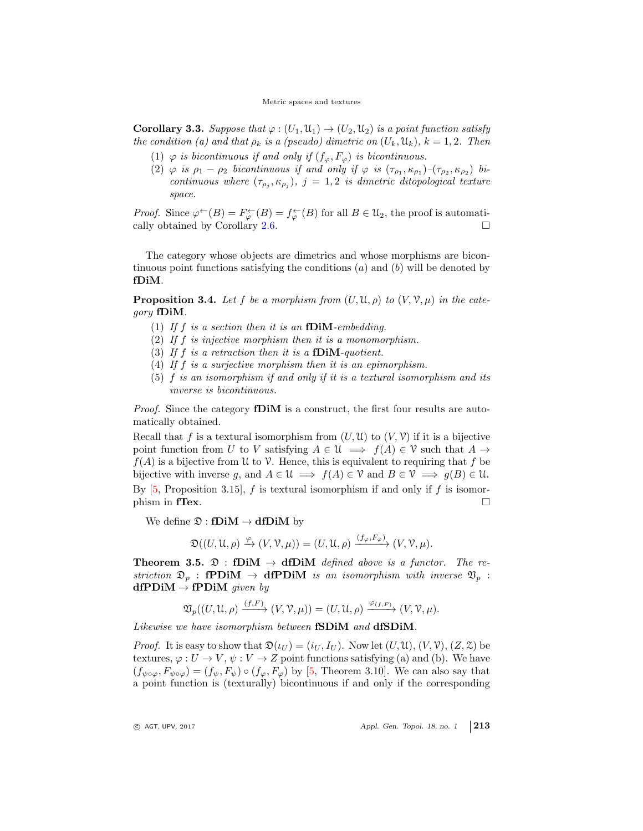**Corollary 3.3.** Suppose that  $\varphi$  :  $(U_1, \mathcal{U}_1) \to (U_2, \mathcal{U}_2)$  is a point function satisfy the condition (a) and that  $\rho_k$  is a (pseudo) dimetric on  $(U_k, \mathfrak{U}_k)$ ,  $k = 1, 2$ . Then

- (1)  $\varphi$  is bicontinuous if and only if  $(f_{\varphi}, F_{\varphi})$  is bicontinuous.
- (2)  $\varphi$  is  $\rho_1 \rho_2$  bicontinuous if and only if  $\varphi$  is  $(\tau_{\rho_1}, \kappa_{\rho_1}) (\tau_{\rho_2}, \kappa_{\rho_2})$  bicontinuous where  $(\tau_{\rho_j}, \kappa_{\rho_j}), j = 1, 2$  is dimetric ditopological texture space.

*Proof.* Since  $\varphi^{\leftarrow}(B) = F_{\varphi}^{\leftarrow}(B) = f_{\varphi}^{\leftarrow}(B)$  for all  $B \in \mathcal{U}_2$ , the proof is automati-cally obtained by Corollary [2.6.](#page-6-0)  $\Box$ 

The category whose objects are dimetrics and whose morphisms are bicontinuous point functions satisfying the conditions  $(a)$  and  $(b)$  will be denoted by fDiM.

**Proposition 3.4.** Let f be a morphism from  $(U, \mathfrak{U}, \rho)$  to  $(V, \mathcal{V}, \mu)$  in the category fDiM.

- (1) If  $f$  is a section then it is an fDiM-embedding.
- (2) If f is injective morphism then it is a monomorphism.
- (3) If f is a retraction then it is a fDiM-quotient.
- (4) If f is a surjective morphism then it is an epimorphism.
- (5)  $f$  is an isomorphism if and only if it is a textural isomorphism and its inverse is bicontinuous.

*Proof.* Since the category **fDiM** is a construct, the first four results are automatically obtained.

Recall that f is a textural isomorphism from  $(U, \mathcal{U})$  to  $(V, \mathcal{V})$  if it is a bijective point function from U to V satisfying  $A \in \mathcal{U} \implies f(A) \in \mathcal{V}$  such that  $A \to$  $f(A)$  is a bijective from U to V. Hence, this is equivalent to requiring that f be bijective with inverse g, and  $A \in \mathcal{U} \implies f(A) \in \mathcal{V}$  and  $B \in \mathcal{V} \implies g(B) \in \mathcal{U}$ . By  $[5,$  Proposition 3.15, f is textural isomorphism if and only if f is isomor- $\Box$  phism in fTex.

We define  $\mathfrak{D}: f\mathbf{DiM} \to df\mathbf{DiM}$  by

$$
\mathfrak{D}((U, \mathfrak{U}, \rho) \xrightarrow{\varphi} (V, \mathcal{V}, \mu)) = (U, \mathfrak{U}, \rho) \xrightarrow{(f_{\varphi}, F_{\varphi})} (V, \mathcal{V}, \mu).
$$

**Theorem 3.5.**  $\mathfrak{D}:$  **fDiM**  $\rightarrow$  **dfDiM** defined above is a functor. The restriction  $\mathfrak{D}_p$  : **fPDiM**  $\rightarrow$  **dfPDiM** is an isomorphism with inverse  $\mathfrak{V}_p$  :  $dfPDiM \rightarrow fPDiM$  given by

$$
\mathfrak{V}_p((U,\mathfrak{U},\rho) \xrightarrow{(f,F)} (V,\mathcal{V},\mu)) = (U,\mathfrak{U},\rho) \xrightarrow{\varphi_{(f,F)}} (V,\mathcal{V},\mu).
$$

Likewise we have isomorphism between **fSDiM** and **dfSDiM**.

 $\left| \frac{f}{f} \right|$ 

*Proof.* It is easy to show that  $\mathfrak{D}(\iota_U) = (\iota_U, I_U)$ . Now let  $(U, \mathfrak{U}), (V, \mathfrak{V}), (Z, \mathfrak{Z})$  be textures,  $\varphi: U \to V, \psi: V \to Z$  point functions satisfying (a) and (b). We have  $(f_{\psi\circ\varphi}, F_{\psi\circ\varphi}) = (f_{\psi}, F_{\psi}) \circ (f_{\varphi}, F_{\varphi})$  by [\[5,](#page-14-3) Theorem 3.10]. We can also say that a point function is (texturally) bicontinuous if and only if the corresponding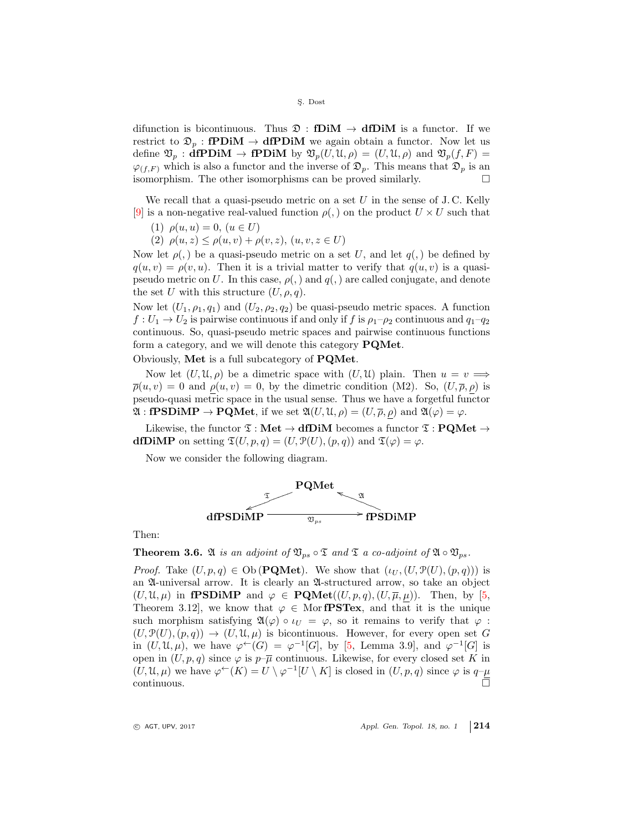difunction is bicontinuous. Thus  $\mathfrak{D}$  : **fDiM**  $\rightarrow$  **dfDiM** is a functor. If we restrict to  $\mathfrak{D}_p : \mathbf{fPDiM} \to \mathbf{dfPDiM}$  we again obtain a functor. Now let us define  $\mathfrak{V}_p$ : **dfPDiM**  $\rightarrow$  **fPDiM** by  $\mathfrak{V}_p(U, \mathfrak{U}, \rho) = (U, \mathfrak{U}, \rho)$  and  $\mathfrak{V}_p(f, F) =$  $\varphi_{(f,F)}$  which is also a functor and the inverse of  $\mathfrak{D}_p$ . This means that  $\mathfrak{D}_p$  is an isomorphism. The other isomorphisms can be proved similarly.

We recall that a quasi-pseudo metric on a set U in the sense of J.C. Kelly [\[9\]](#page-14-11) is a non-negative real-valued function  $\rho(.)$  on the product  $U \times U$  such that

(1)  $\rho(u, u) = 0, (u \in U)$ 

(2)  $\rho(u, z) \leq \rho(u, v) + \rho(v, z), (u, v, z \in U)$ 

Now let  $\rho(.)$  be a quasi-pseudo metric on a set U, and let  $q(.)$  be defined by  $q(u, v) = \rho(v, u)$ . Then it is a trivial matter to verify that  $q(u, v)$  is a quasipseudo metric on U. In this case,  $\rho(.)$  and  $q(.)$  are called conjugate, and denote the set U with this structure  $(U, \rho, q)$ .

Now let  $(U_1, \rho_1, q_1)$  and  $(U_2, \rho_2, q_2)$  be quasi-pseudo metric spaces. A function  $f: U_1 \to U_2$  is pairwise continuous if and only if f is  $\rho_1-\rho_2$  continuous and  $q_1-q_2$ continuous. So, quasi-pseudo metric spaces and pairwise continuous functions form a category, and we will denote this category PQMet.

Obviously, Met is a full subcategory of PQMet.

Now let  $(U, \mathfrak{U}, \rho)$  be a dimetric space with  $(U, \mathfrak{U})$  plain. Then  $u = v \implies$  $\overline{\rho}(u, v) = 0$  and  $\rho(u, v) = 0$ , by the dimetric condition (M2). So,  $(U, \overline{\rho}, \rho)$  is pseudo-quasi metric space in the usual sense. Thus we have a forgetful functor  $\mathfrak{A}: \textbf{fPSD} \in \textbf{PQMet}$ , if we set  $\mathfrak{A}(U, \mathfrak{U}, \rho) = (U, \overline{\rho}, \rho)$  and  $\mathfrak{A}(\varphi) = \varphi$ .

Likewise, the functor  $\mathfrak{T} : \mathbf{Met} \to \mathbf{dfDim}$  becomes a functor  $\mathfrak{T} : \mathbf{PQMet} \to$ dfDiMP on setting  $\mathfrak{T}(U, p, q) = (U, \mathfrak{P}(U), (p, q))$  and  $\mathfrak{T}(\varphi) = \varphi$ .

Now we consider the following diagram.



Then:

**Theorem 3.6.** A is an adjoint of  $\mathfrak{V}_{ps} \circ \mathfrak{T}$  and  $\mathfrak{T}$  a co-adjoint of  $\mathfrak{A} \circ \mathfrak{V}_{ps}$ .

*Proof.* Take  $(U, p, q) \in Ob(\textbf{PQMet})$ . We show that  $(\iota_U, (U, \mathcal{P}(U), (p, q)))$  is an A-universal arrow. It is clearly an A-structured arrow, so take an object  $(U, \mathfrak{U}, \mu)$  in **fPSDiMP** and  $\varphi \in \textbf{PQMet}((U, p, q), (U, \overline{\mu}, \mu))$ . Then, by [\[5,](#page-14-3) Theorem 3.12], we know that  $\varphi \in \mathcal{M}$  or **fPSTex**, and that it is the unique such morphism satisfying  $\mathfrak{A}(\varphi) \circ \iota_U = \varphi$ , so it remains to verify that  $\varphi$ :  $(U, \mathcal{P}(U), (p, q)) \rightarrow (U, \mathcal{U}, \mu)$  is bicontinuous. However, for every open set G in  $(U, \mathcal{U}, \mu)$ , we have  $\varphi^{\leftarrow}(G) = \varphi^{-1}[G]$ , by [\[5,](#page-14-3) Lemma 3.9], and  $\varphi^{-1}[G]$  is open in  $(U, p, q)$  since  $\varphi$  is  $p-\overline{\mu}$  continuous. Likewise, for every closed set K in  $(U, \mathfrak{U}, \mu)$  we have  $\varphi^{\leftarrow}(K) = U \setminus \varphi^{-1}[U \setminus K]$  is closed in  $(U, p, q)$  since  $\varphi$  is  $q\leftarrow\mu$  $\overline{C}$  continuous.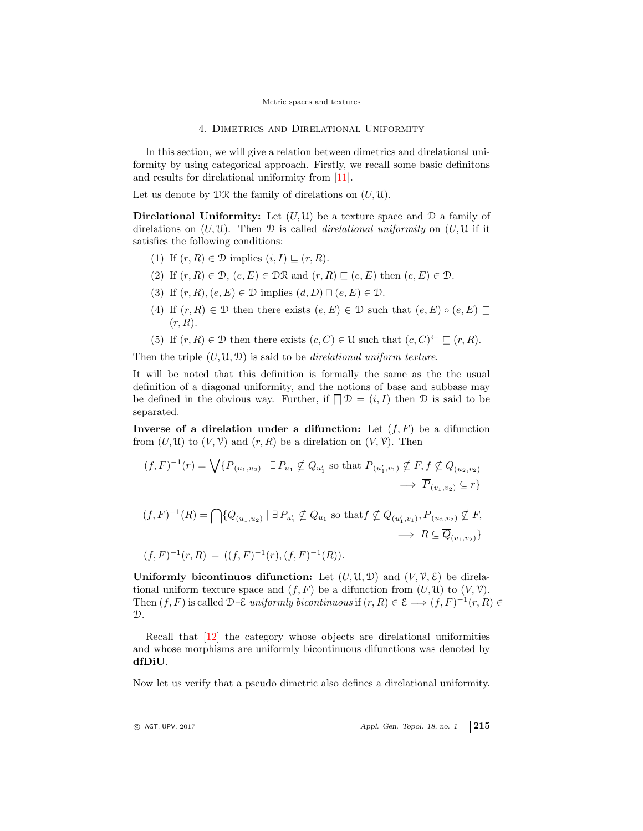4. Dimetrics and Direlational Uniformity

In this section, we will give a relation between dimetrics and direlational uniformity by using categorical approach. Firstly, we recall some basic definitons and results for direlational uniformity from [\[11\]](#page-14-9).

Let us denote by  $\mathcal{DR}$  the family of direlations on  $(U, \mathfrak{U})$ .

**Direlational Uniformity:** Let  $(U, \mathcal{U})$  be a texture space and  $\mathcal{D}$  a family of direlations on  $(U, \mathcal{U})$ . Then  $\mathcal D$  is called *direlational uniformity* on  $(U, \mathcal{U})$  if it satisfies the following conditions:

- (1) If  $(r, R) \in \mathcal{D}$  implies  $(i, I) \sqsubseteq (r, R)$ .
- (2) If  $(r, R) \in \mathcal{D}$ ,  $(e, E) \in \mathcal{DR}$  and  $(r, R) \sqsubseteq (e, E)$  then  $(e, E) \in \mathcal{D}$ .
- (3) If  $(r, R), (e, E) \in \mathcal{D}$  implies  $(d, D) \sqcap (e, E) \in \mathcal{D}$ .
- (4) If  $(r, R) \in \mathcal{D}$  then there exists  $(e, E) \in \mathcal{D}$  such that  $(e, E) \circ (e, E) \sqsubseteq$  $(r, R)$ .
- (5) If  $(r, R) \in \mathcal{D}$  then there exists  $(c, C) \in \mathcal{U}$  such that  $(c, C) \subset \subseteq (r, R)$ .

Then the triple  $(U, \mathfrak{U}, \mathfrak{D})$  is said to be *direlational uniform texture*.

It will be noted that this definition is formally the same as the the usual definition of a diagonal uniformity, and the notions of base and subbase may be defined in the obvious way. Further, if  $\Box \mathcal{D} = (i, I)$  then  $\mathcal D$  is said to be separated.

Inverse of a direlation under a difunction: Let  $(f, F)$  be a difunction from  $(U, \mathcal{U})$  to  $(V, \mathcal{V})$  and  $(r, R)$  be a direlation on  $(V, \mathcal{V})$ . Then

$$
(f, F)^{-1}(r) = \bigvee \{ \overline{P}_{(u_1, u_2)} \mid \exists P_{u_1} \nsubseteq Q_{u'_1} \text{ so that } \overline{P}_{(u'_1, v_1)} \nsubseteq F, f \nsubseteq \overline{Q}_{(u_2, v_2)} \implies \overline{P}_{(v_1, v_2)} \subseteq r \}
$$

$$
(f, F)^{-1}(R) = \bigcap \{ \overline{Q}_{(u_1, u_2)} \mid \exists P_{u'_1} \nsubseteq Q_{u_1} \text{ so that } f \nsubseteq \overline{Q}_{(u'_1, v_1)}, \overline{P}_{(u_2, v_2)} \nsubseteq F, \}
$$
  

$$
\implies R \subseteq \overline{Q}_{(v_1, v_2)} \}
$$

$$
(f, F)^{-1}(r, R) = ((f, F)^{-1}(r), (f, F)^{-1}(R)).
$$

Uniformly bicontinuos difunction: Let  $(U, \mathfrak{U}, \mathfrak{D})$  and  $(V, \mathfrak{V}, \mathcal{E})$  be direlational uniform texture space and  $(f, F)$  be a difunction from  $(U, \mathcal{U})$  to  $(V, \mathcal{V})$ . Then  $(f, F)$  is called  $\mathcal{D}-\mathcal{E}$  uniformly bicontinuous if  $(r, R) \in \mathcal{E} \Longrightarrow (f, F)^{-1}(r, R) \in$  $\mathcal{D}$ .

Recall that [\[12\]](#page-14-12) the category whose objects are direlational uniformities and whose morphisms are uniformly bicontinuous difunctions was denoted by dfDiU.

Now let us verify that a pseudo dimetric also defines a direlational uniformity.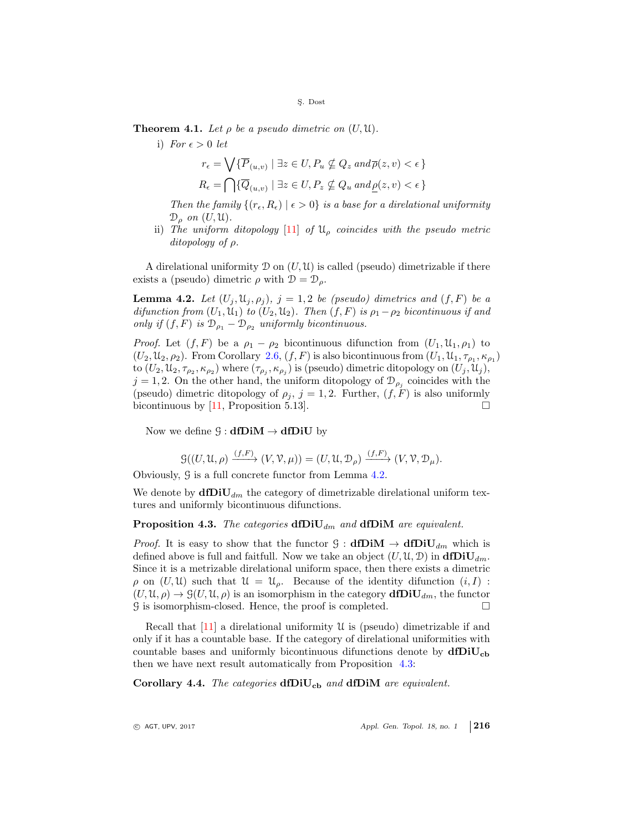**Theorem 4.1.** Let  $\rho$  be a pseudo dimetric on  $(U, \mathfrak{U})$ .

i) For  $\epsilon > 0$  let

$$
r_{\epsilon} = \bigvee \{ \overline{P}_{(u,v)} \mid \exists z \in U, P_u \nsubseteq Q_z \text{ and } \overline{\rho}(z,v) < \epsilon \}
$$
\n
$$
R_{\epsilon} = \bigcap \{ \overline{Q}_{(u,v)} \mid \exists z \in U, P_z \nsubseteq Q_u \text{ and } \underline{\rho}(z,v) < \epsilon \}
$$

Then the family  $\{(r_{\epsilon}, R_{\epsilon}) \mid \epsilon > 0\}$  is a base for a direlational uniformity  $\mathcal{D}_{o}$  on  $(U, \mathfrak{U})$ .

ii) The uniform ditopology  $[11]$  of  $\mathfrak{U}_{\rho}$  coincides with the pseudo metric ditopology of ρ.

A direlational uniformity  $\mathcal D$  on  $(U, \mathcal U)$  is called (pseudo) dimetrizable if there exists a (pseudo) dimetric  $\rho$  with  $\mathcal{D} = \mathcal{D}_o$ .

<span id="page-13-0"></span>**Lemma 4.2.** Let  $(U_j, \mathfrak{U}_j, \rho_j)$ ,  $j = 1, 2$  be (pseudo) dimetrics and  $(f, F)$  be a difunction from  $(U_1, \mathfrak{U}_1)$  to  $(U_2, \mathfrak{U}_2)$ . Then  $(f, F)$  is  $\rho_1 - \rho_2$  bicontinuous if and only if  $(f, F)$  is  $\mathcal{D}_{\rho_1} - \mathcal{D}_{\rho_2}$  uniformly bicontinuous.

*Proof.* Let  $(f, F)$  be a  $\rho_1 - \rho_2$  bicontinuous difunction from  $(U_1, \mathfrak{U}_1, \rho_1)$  to  $(U_2, \mathcal{U}_2, \rho_2)$ . From Corollary [2.6,](#page-6-0)  $(f, F)$  is also bicontinuous from  $(U_1, \mathcal{U}_1, \tau_{\rho_1}, \kappa_{\rho_1})$ to  $(U_2, \mathfrak{U}_2, \tau_{\rho_2}, \kappa_{\rho_2})$  where  $(\tau_{\rho_j}, \kappa_{\rho_j})$  is (pseudo) dimetric ditopology on  $(U_j, \mathfrak{U}_j)$ ,  $j = 1, 2$ . On the other hand, the uniform ditopology of  $\mathcal{D}_{\rho_j}$  coincides with the (pseudo) dimetric ditopology of  $\rho_j$ ,  $j = 1, 2$ . Further,  $(f, F)$  is also uniformly bicontinuous by [\[11,](#page-14-9) Proposition 5.13].

Now we define  $\mathcal{G} : dfDiM \rightarrow dfDiU$  by

$$
\mathcal{G}((U,\mathfrak{U},\rho) \xrightarrow{(f,F)} (V,\mathcal{V},\mu)) = (U,\mathfrak{U},\mathfrak{D}_{\rho}) \xrightarrow{(f,F)} (V,\mathcal{V},\mathfrak{D}_{\mu}).
$$

Obviously, G is a full concrete functor from Lemma [4.2.](#page-13-0)

We denote by  $\text{d}f\text{Di}U_{dm}$  the category of dimetrizable direlational uniform textures and uniformly bicontinuous difunctions.

<span id="page-13-1"></span>**Proposition 4.3.** The categories  $\text{dfDiU}_{dm}$  and  $\text{dfDiM}$  are equivalent.

*Proof.* It is easy to show that the functor  $\mathcal{G}: \mathbf{dfDiM} \to \mathbf{dfDiU}_{dm}$  which is defined above is full and faitfull. Now we take an object  $(U, \mathfrak{U}, \mathfrak{D})$  in  $\text{d} \text{fDiv}_{dm}$ . Since it is a metrizable direlational uniform space, then there exists a dimetric  $\rho$  on  $(U, \mathfrak{U})$  such that  $\mathfrak{U} = \mathfrak{U}_{\rho}$ . Because of the identity difunction  $(i, I)$ :  $(U, \mathfrak{U}, \rho) \to \mathcal{G}(U, \mathfrak{U}, \rho)$  is an isomorphism in the category  $\text{d}f\text{Di}U_{dm}$ , the functor  $\mathcal G$  is isomorphism-closed. Hence, the proof is completed.  $\Box$ 

Recall that  $[11]$  a direlational uniformity U is (pseudo) dimetrizable if and only if it has a countable base. If the category of direlational uniformities with countable bases and uniformly bicontinuous difunctions denote by  $dfDiU_{cb}$ then we have next result automatically from Proposition [4.3:](#page-13-1)

Corollary 4.4. The categories  $dfDiv_{cb}$  and  $dfDiv_{dt}$  are equivalent.